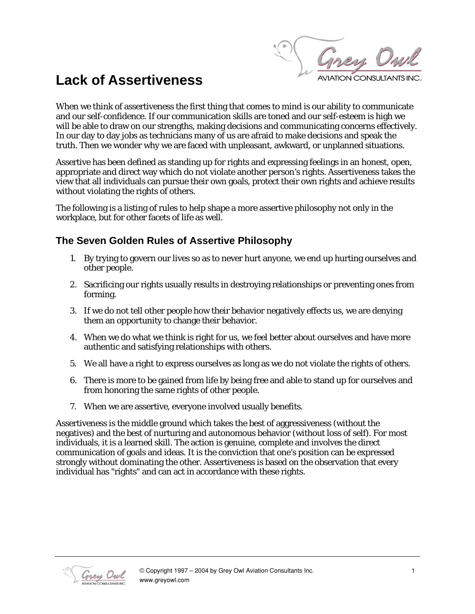Grey Owl **WIATION CONSULTANTS INC** 

## **Lack of Assertiveness**

When we think of assertiveness the first thing that comes to mind is our ability to communicate and our self-confidence. If our communication skills are toned and our self-esteem is high we will be able to draw on our strengths, making decisions and communicating concerns effectively. In our day to day jobs as technicians many of us are afraid to make decisions and speak the truth. Then we wonder why we are faced with unpleasant, awkward, or unplanned situations.

Assertive has been defined as standing up for rights and expressing feelings in an honest, open, appropriate and direct way which do not violate another person's rights. Assertiveness takes the view that all individuals can pursue their own goals, protect their own rights and achieve results without violating the rights of others.

The following is a listing of rules to help shape a more assertive philosophy not only in the workplace, but for other facets of life as well.

## **The Seven Golden Rules of Assertive Philosophy**

- 1. By trying to govern our lives so as to never hurt anyone, we end up hurting ourselves and other people.
- 2. Sacrificing our rights usually results in destroying relationships or preventing ones from forming.
- 3. If we do not tell other people how their behavior negatively effects us, we are denying them an opportunity to change their behavior.
- 4. When we do what we think is right for us, we feel better about ourselves and have more authentic and satisfying relationships with others.
- 5. We all have a right to express ourselves as long as we do not violate the rights of others.
- 6. There is more to be gained from life by being free and able to stand up for ourselves and from honoring the same rights of other people.
- 7. When we are assertive, everyone involved usually benefits.

Assertiveness is the middle ground which takes the best of aggressiveness (without the negatives) and the best of nurturing and autonomous behavior (without loss of self). For most individuals, it is a learned skill. The action is genuine, complete and involves the direct communication of goals and ideas. It is the conviction that one's position can be expressed strongly without dominating the other. Assertiveness is based on the observation that every individual has "rights" and can act in accordance with these rights.

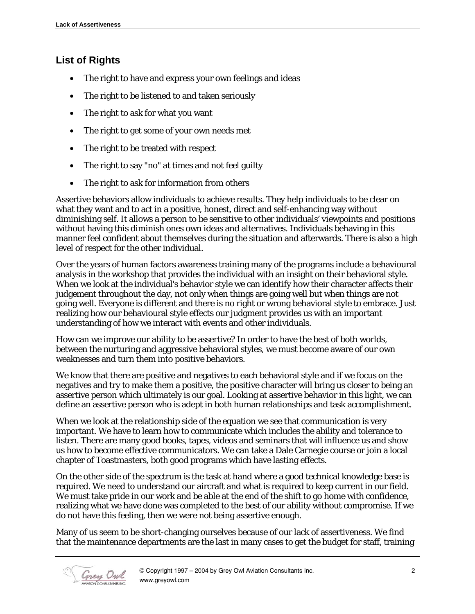## **List of Rights**

- The right to have and express your own feelings and ideas
- The right to be listened to and taken seriously
- The right to ask for what you want
- The right to get some of your own needs met
- The right to be treated with respect
- The right to say "no" at times and not feel guilty
- The right to ask for information from others

Assertive behaviors allow individuals to achieve results. They help individuals to be clear on what they want and to act in a positive, honest, direct and self-enhancing way without diminishing self. It allows a person to be sensitive to other individuals' viewpoints and positions without having this diminish ones own ideas and alternatives. Individuals behaving in this manner feel confident about themselves during the situation and afterwards. There is also a high level of respect for the other individual.

Over the years of human factors awareness training many of the programs include a behavioural analysis in the workshop that provides the individual with an insight on their behavioral style. When we look at the individual's behavior style we can identify how their character affects their judgement throughout the day, not only when things are going well but when things are not going well. Everyone is different and there is no right or wrong behavioral style to embrace. Just realizing how our behavioural style effects our judgment provides us with an important understanding of how we interact with events and other individuals.

How can we improve our ability to be assertive? In order to have the best of both worlds, between the nurturing and aggressive behavioral styles, we must become aware of our own weaknesses and turn them into positive behaviors.

We know that there are positive and negatives to each behavioral style and if we focus on the negatives and try to make them a positive, the positive character will bring us closer to being an assertive person which ultimately is our goal. Looking at assertive behavior in this light, we can define an assertive person who is adept in both human relationships and task accomplishment.

When we look at the relationship side of the equation we see that communication is very important. We have to learn how to communicate which includes the ability and tolerance to listen. There are many good books, tapes, videos and seminars that will influence us and show us how to become effective communicators. We can take a Dale Carnegie course or join a local chapter of Toastmasters, both good programs which have lasting effects.

On the other side of the spectrum is the task at hand where a good technical knowledge base is required. We need to understand our aircraft and what is required to keep current in our field. We must take pride in our work and be able at the end of the shift to go home with confidence, realizing what we have done was completed to the best of our ability without compromise. If we do not have this feeling, then we were not being assertive enough.

Many of us seem to be short-changing ourselves because of our lack of assertiveness. We find that the maintenance departments are the last in many cases to get the budget for staff, training